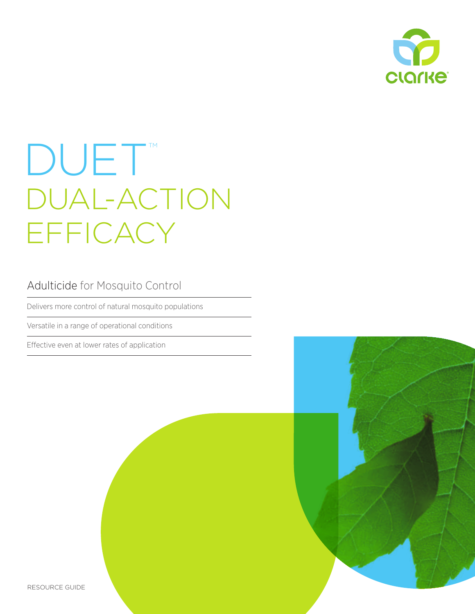

# DUET<sup>M</sup> DUAL-ACTION EFFICACY

### Adulticide for Mosquito Control

Delivers more control of natural mosquito populations

Versatile in a range of operational conditions

Effective even at lower rates of application

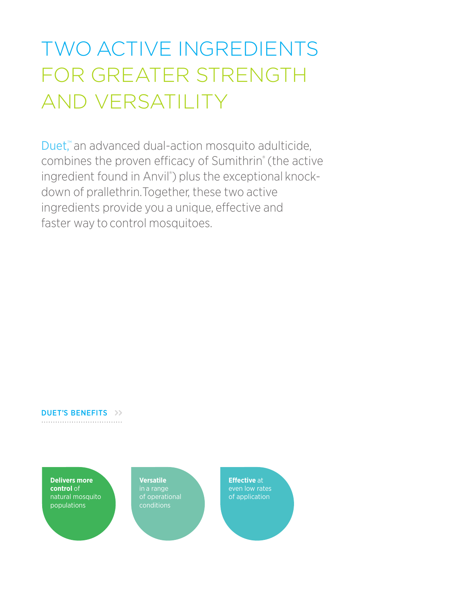# TWO ACTIVE INGREDIENTS FOR GREATER STRENGTH AND VERSATILITY

Duet,<sup>™</sup> an advanced dual-action mosquito adulticide, combines the proven efficacy of Sumithrin® (the active ingredient found in Anvil®) plus the exceptional knockdown of prallethrin. Together, these two active ingredients provide you a unique, effective and faster way to control mosquitoes.

### DUET'S BENEFITS >>

**Delivers more control** of natural mosquito populations

**Versatile** in a range of operational conditions

**Effective** at even low rates of application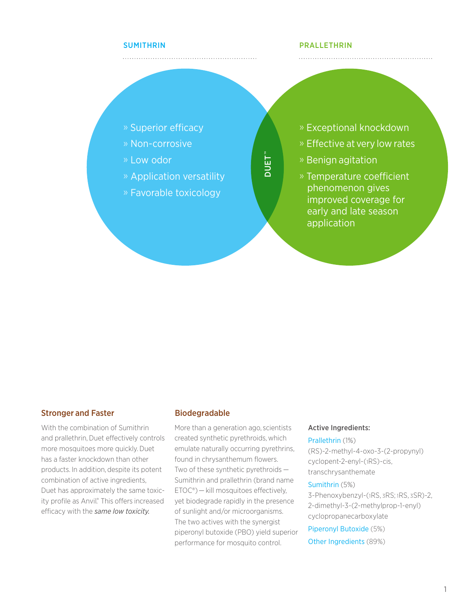### SUMITHRIN

### PRALLETHRIN

- » Superior efficacy
- » Non-corrosive
- » Low odor
- » Application versatility

» Favorable toxicology

» Exceptional knockdown

- » Effective at very low rates
- » Benign agitation

DUET ™

» Temperature coefficient phenomenon gives improved coverage for early and late season application

### Stronger and Faster **Biodegradable**

With the combination of Sumithrin and prallethrin, Duet effectively controls more mosquitoes more quickly. Duet has a faster knockdown than other products. In addition, despite its potent combination of active ingredients, Duet has approximately the same toxicity profile as Anvil.<sup>®</sup> This offers increased efficacy with the *same low toxicity.* 

More than a generation ago, scientists created synthetic pyrethroids, which emulate naturally occurring pyrethrins, found in chrysanthemum flowers. Two of these synthetic pyrethroids — Sumithrin and prallethrin (brand name ETOC®) — kill mosquitoes effectively, yet biodegrade rapidly in the presence of sunlight and/or microorganisms. The two actives with the synergist piperonyl butoxide (PBO) yield superior performance for mosquito control.

#### Active Ingredients:

### Prallethrin (1%)

(RS)-2-methyl-4-oxo-3-(2-propynyl) cyclopent-2-enyl-(1RS)-cis, transchrysanthemate

#### Sumithrin (5%)

3-Phenoxybenzyl-(1RS, 3RS; 1RS, 3SR)-2, 2-dimethyl-3-(2-methylprop-1-enyl) cyclopropanecarboxylate

Piperonyl Butoxide (5%)

Other Ingredients (89%)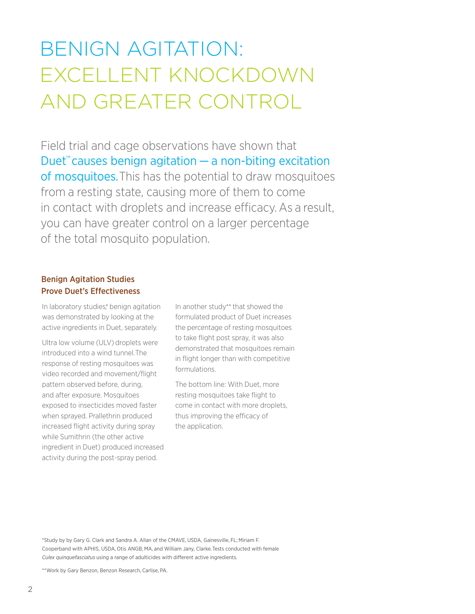## BENIGN AGITATION: EXCELLENT KNOCKDOWN AND GREATER CONTROL

Field trial and cage observations have shown that Duet<sup>™</sup> causes benign agitation  $-$  a non-biting excitation of mosquitoes. This has the potential to draw mosquitoes from a resting state, causing more of them to come in contact with droplets and increase efficacy. As a result, you can have greater control on a larger percentage of the total mosquito population.

### Benign Agitation Studies Prove Duet's Effectiveness

In laboratory studies,\* benign agitation was demonstrated by looking at the active ingredients in Duet, separately.

Ultra low volume (ULV) droplets were introduced into a wind tunnel. The response of resting mosquitoes was video recorded and movement/flight pattern observed before, during, and after exposure. Mosquitoes exposed to insecticides moved faster when sprayed. Prallethrin produced increased flight activity during spray while Sumithrin (the other active ingredient in Duet) produced increased activity during the post-spray period.

In another study\*\* that showed the formulated product of Duet increases the percentage of resting mosquitoes to take flight post spray, it was also demonstrated that mosquitoes remain in flight longer than with competitive formulations.

The bottom line: With Duet, more resting mosquitoes take flight to come in contact with more droplets, thus improving the efficacy of the application.

\*Study by by Gary G. Clark and Sandra A. Allan of the CMAVE, USDA, Gainesville, FL; Miriam F. Cooperband with APHIS, USDA, Otis ANGB, MA, and William Jany, Clarke. Tests conducted with female *Culex quinquefasciatus* using a range of adulticides with different active ingredients.

\*\*Work by Gary Benzon, Benzon Research, Carlise, PA.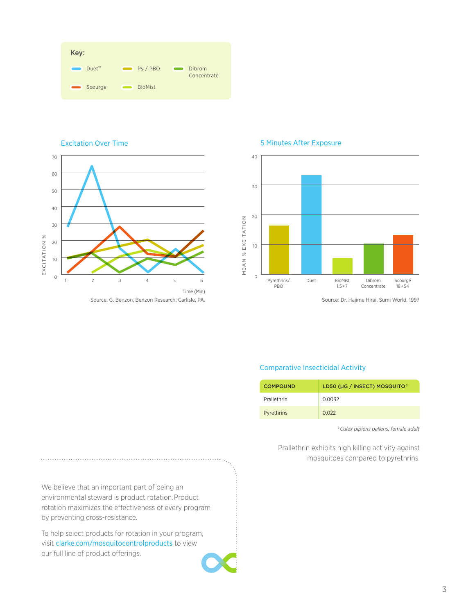| Key:                                          |                |                       |
|-----------------------------------------------|----------------|-----------------------|
| Duet <sup>™</sup><br>$\overline{\phantom{a}}$ | Py / PBO       | Dibrom<br>Concentrate |
| Scourge<br>$\qquad \qquad \blacksquare$       | <b>BioMist</b> |                       |



#### 5 Minutes After Exposure



Source: Dr. Hajime Hirai, Sumi World, 1997

### Comparative Insecticidal Activity

| <b>COMPOUND</b> | LD50 (µG / INSECT) MOSQUITO <sup>2</sup> |
|-----------------|------------------------------------------|
| Prallethrin     | 0.0032                                   |
| Pyrethrins      | 0.022                                    |

<sup>2</sup>*Culex pipiens pallens, female adult*

Prallethrin exhibits high killing activity against mosquitoes compared to pyrethrins.

We believe that an important part of being an environmental steward is product rotation. Product rotation maximizes the effectiveness of every program by preventing cross-resistance.

To help select products for rotation in your program, visit clarke.com/mosquitocontrolproducts to view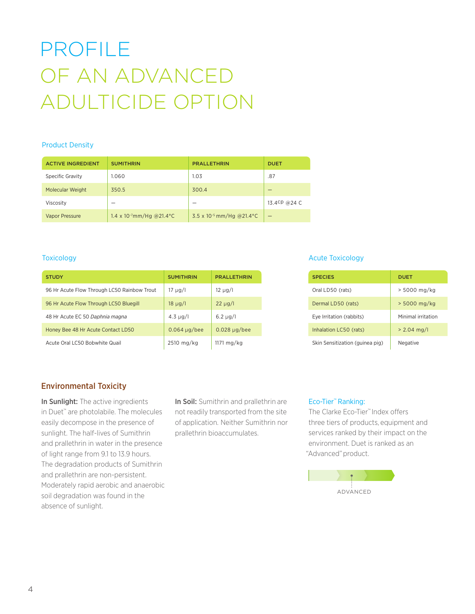# PROFILE OF AN ADVANCED ADULTICIDE OPTION

### Product Density

| <b>ACTIVE INGREDIENT</b> | <b>SUMITHRIN</b>                     | <b>PRALLETHRIN</b>                   | <b>DUET</b>  |
|--------------------------|--------------------------------------|--------------------------------------|--------------|
| Specific Gravity         | 1.060                                | 1.03                                 | .87          |
| Molecular Weight         | 350.5                                | 300.4                                |              |
| Viscosity                |                                      |                                      | 13.4CP @24 C |
| <b>Vapor Pressure</b>    | 1.4 x 10 <sup>-7</sup> mm/Hg @21.4°C | 3.5 x 10 <sup>-5</sup> mm/Hg @21.4°C |              |

| <b>STUDY</b>                                | <b>SUMITHRIN</b>   | <b>PRALLETHRIN</b> | <b>SPECIES</b>                  | <b>DUET</b> |
|---------------------------------------------|--------------------|--------------------|---------------------------------|-------------|
| 96 Hr Acute Flow Through LC50 Rainbow Trout | 17 µg/l            | $12 \mu g/l$       | Oral LD50 (rats)                |             |
| 96 Hr Acute Flow Through LC50 Bluegill      | $18 \mu g/l$       | $22 \mu g/l$       | Dermal LD50 (rats)              |             |
| 48 Hr Acute EC 50 Daphnia magna             | $4.3 \mu g/l$      | $6.2 \mu g/l$      | Eye Irritation (rabbits)        |             |
| Honey Bee 48 Hr Acute Contact LD50          | $0.064 \mu g$ /bee | $0.028 \mu g$ /bee | Inhalation LC50 (rats)          |             |
| Acute Oral LC50 Bobwhite Quail              | $2510$ mg/kg       | 1171 mg/kg         | Skin Sensitization (guinea pig) |             |

### Toxicology **Acute Toxicology Acute Toxicology Acute Toxicology**

| <b>SPECIES</b>                  | <b>DUET</b>        |
|---------------------------------|--------------------|
| Oral LD50 (rats)                | > 5000 mg/kg       |
| Dermal LD50 (rats)              | $> 5000$ mg/kg     |
| Eye Irritation (rabbits)        | Minimal irritation |
| Inhalation LC50 (rats)          | $> 2.04$ mg/l      |
| Skin Sensitization (guinea pig) | Negative           |

### Environmental Toxicity

In Sunlight: The active ingredients in Duet™ are photolabile. The molecules easily decompose in the presence of sunlight. The half-lives of Sumithrin and prallethrin in water in the presence of light range from 9.1 to 13.9 hours. The degradation products of Sumithrin and prallethrin are non-persistent. Moderately rapid aerobic and anaerobic soil degradation was found in the absence of sunlight.

In Soil: Sumithrin and prallethrin are not readily transported from the site of application. Neither Sumithrin nor prallethrin bioaccumulates.

### Eco-Tier™ Ranking:

The Clarke Eco-Tier™ Index offers three tiers of products, equipment and services ranked by their impact on the environment. Duet is ranked as an "Advanced" product.

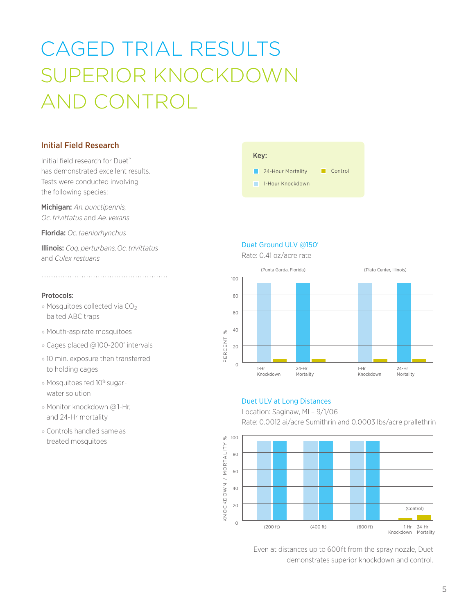# CAGED TRIAL RESULTS SUPERIOR KNOCKDOWN AND CONTROL

### Initial Field Research

Initial field research for Duet™ has demonstrated excellent results. Tests were conducted involving the following species:

Michigan: *An. punctipennis, Oc. trivittatus* and *Ae. vexans* 

Florida: *Oc. taeniorhynchus* 

Illinois: *Coq. perturbans, Oc. trivittatus*  and *Culex restuans*

### Protocols:

- » Mosquitoes collected via  $CO<sub>2</sub>$ baited ABC traps
- » Mouth-aspirate mosquitoes
- » Cages placed @100-200' intervals
- » 10 min. exposure then transferred to holding cages
- » Mosquitoes fed 10% sugarwater solution
- » Monitor knockdown @ 1-Hr, and 24-Hr mortality
- » Controls handled same as treated mosquitoes

### **1-Hour Knockdown 24-Hour Mortality Control** Key:

### Duet Ground ULV @150'

Rate: 0.41 oz/acre rate



### Duet ULV at Long Distances

Location: Saginaw, MI – 9/1/06 Rate: 0.0012 ai/acre Sumithrin and 0.0003 lbs/acre prallethrin



Even at distances up to 600ft from the spray nozzle, Duet demonstrates superior knockdown and control.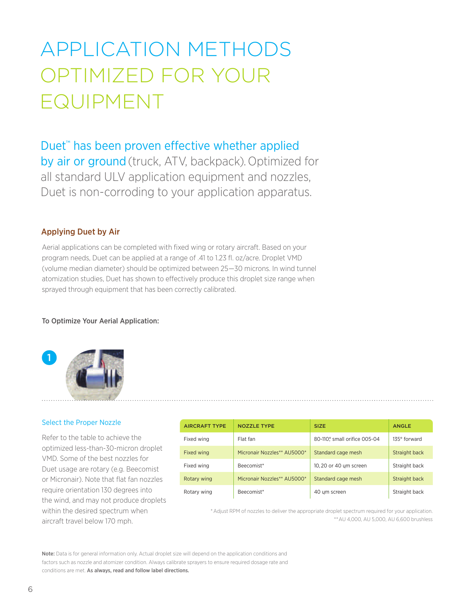# APPLICATION METHODS OPTIMIZED FOR YOUR EQUIPMENT

### Duet<sup>™</sup> has been proven effective whether applied

by air or ground (truck, ATV, backpack). Optimized for all standard ULV application equipment and nozzles, Duet is non-corroding to your application apparatus.

### Applying Duet by Air

Aerial applications can be completed with fixed wing or rotary aircraft. Based on your program needs, Duet can be applied at a range of .41 to 1.23 fl. oz/acre. Droplet VMD (volume median diameter) should be optimized between 25—30 microns. In wind tunnel atomization studies, Duet has shown to effectively produce this droplet size range when sprayed through equipment that has been correctly calibrated.

### To Optimize Your Aerial Application:



### Select the Proper Nozzle

Refer to the table to achieve the optimized less-than-30-micron droplet VMD. Some of the best nozzles for Duet usage are rotary (e.g. Beecomist or Micronair). Note that flat fan nozzles require orientation 130 degrees into the wind, and may not produce droplets within the desired spectrum when aircraft travel below 170 mph.

| <b>AIRCRAFT TYPE</b> | <b>NOZZLE TYPE</b>          | <b>SIZE</b>                  | <b>ANGLE</b>  |
|----------------------|-----------------------------|------------------------------|---------------|
| Fixed wing           | Flat fan                    | 80-110° small orifice 005-04 | 135° forward  |
| Fixed wing           | Micronair Nozzles** AU5000* | Standard cage mesh           | Straight back |
| Fixed wing           | Beecomist*                  | 10, 20 or 40 um screen       | Straight back |
| Rotary wing          | Micronair Nozzles** AU5000* | Standard cage mesh           | Straight back |
| Rotary wing          | Beecomist*                  | 40 um screen                 | Straight back |

\* Adjust RPM of nozzles to deliver the appropriate droplet spectrum required for your application. \*\* AU 4,000, AU 5,000, AU 6,600 brushless

Note: Data is for general information only. Actual droplet size will depend on the application conditions and factors such as nozzle and atomizer condition. Always calibrate sprayers to ensure required dosage rate and conditions are met. As always, read and follow label directions.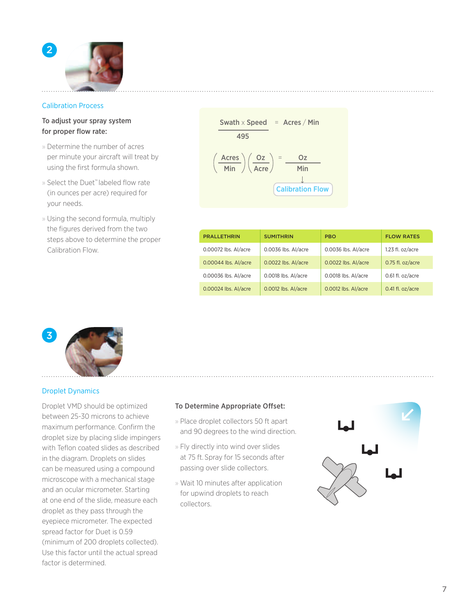

### Calibration Process

### To adjust your spray system for proper flow rate:

- » Determine the number of acres per minute your aircraft will treat by using the first formula shown.
- » Select the Duet™ labeled flow rate (in ounces per acre) required for your needs.
- » Using the second formula, multiply the figures derived from the two steps above to determine the proper Calibration Flow.

| Swath × Speed                                                                                                            | = | ACres / Min |
|--------------------------------------------------------------------------------------------------------------------------|---|-------------|
| $\left(\frac{\text{Acres}}{\text{Min}}\right) \left(\frac{\text{Oz}}{\text{Acre}}\right) = \frac{\text{Oz}}{\text{Min}}$ |   |             |
| Calibration Flow                                                                                                         |   |             |

| <b>PRALLETHRIN</b>   | <b>SUMITHRIN</b>    | <b>PBO</b>          | <b>FLOW RATES</b> |
|----------------------|---------------------|---------------------|-------------------|
| 0.00072 lbs. Al/acre | 0.0036 lbs. Al/acre | 0.0036 lbs. Al/acre | 1.23 fl. oz/acre  |
| 0.00044 lbs. Al/acre | 0.0022 lbs. Al/acre | 0.0022 lbs. Al/acre | 0.75 fl. oz/acre  |
| 0.00036 lbs. Al/acre | 0.0018 lbs. Al/acre | 0.0018 lbs. Al/acre | 0.61 fl. oz/acre  |
| 0.00024 lbs. Al/acre | 0.0012 lbs. Al/acre | 0.0012 lbs. Al/acre | 0.41 fl. oz/acre  |



### Droplet Dynamics

Droplet VMD should be optimized between 25-30 microns to achieve maximum performance. Confirm the droplet size by placing slide impingers with Teflon coated slides as described in the diagram. Droplets on slides can be measured using a compound microscope with a mechanical stage and an ocular micrometer. Starting at one end of the slide, measure each droplet as they pass through the eyepiece micrometer. The expected spread factor for Duet is 0.59 (minimum of 200 droplets collected). Use this factor until the actual spread factor is determined.

### To Determine Appropriate Offset:

- » Place droplet collectors 50 ft apart and 90 degrees to the wind direction.
- » Fly directly into wind over slides at 75 ft. Spray for 15 seconds after passing over slide collectors.
- » Wait 10 minutes after application for upwind droplets to reach collectors.

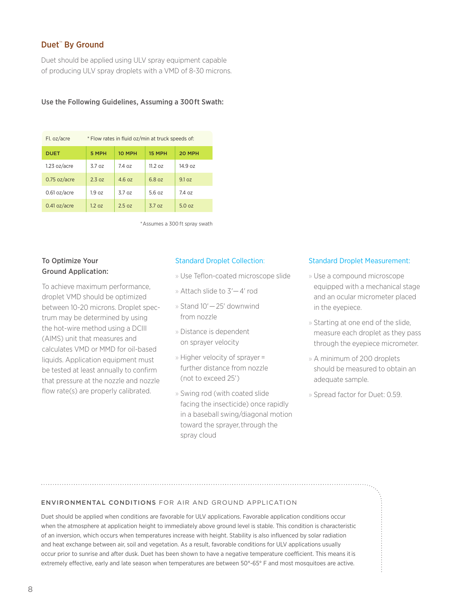### Duet<sup>™</sup> By Ground

Duet should be applied using ULV spray equipment capable of producing ULV spray droplets with a VMD of 8-30 microns.

### Use the Following Guidelines, Assuming a 300 ft Swath:

| Fl. oz/acre<br>* Flow rates in fluid oz/min at truck speeds of: |                   |        |                   |        |
|-----------------------------------------------------------------|-------------------|--------|-------------------|--------|
| <b>DUET</b>                                                     | 5 MPH             | 10 MPH | 15 MPH            | 20 MPH |
| 1.23 oz/acre                                                    | 37 oz             | 74 oz  | $11.2 \text{ oz}$ | 14907  |
| $0.75$ oz/acre                                                  | 2.3 <sub>07</sub> | 4607   | 6807              | 9.1 oz |
| 0.61 oz/acre                                                    | 1.9 <sub>oz</sub> | 3.7 oz | 56.07             | 7407   |
| $0.41$ oz/acre                                                  | 1.2 oz            | 2.5oz  | 3.7 oz            | 5.0 oz |

\* Assumes a 300 ft spray swath

### To Optimize Your Ground Application:

To achieve maximum performance, droplet VMD should be optimized between 10-20 microns. Droplet spectrum may be determined by using the hot-wire method using a DCIII (AIMS) unit that measures and calculates VMD or MMD for oil-based liquids. Application equipment must be tested at least annually to confirm that pressure at the nozzle and nozzle flow rate(s) are properly calibrated.

### Standard Droplet Collection:

» Use Teflon-coated microscope slide

- » Attach slide to 3'— 4' rod
- » Stand 10'— 25' downwind from nozzle
- » Distance is dependent on sprayer velocity
- » Higher velocity of sprayer = further distance from nozzle (not to exceed 25')
- » Swing rod (with coated slide facing the insecticide) once rapidly in a baseball swing/diagonal motion toward the sprayer, through the spray cloud

### Standard Droplet Measurement:

- » Use a compound microscope equipped with a mechanical stage and an ocular micrometer placed in the eyepiece.
- » Starting at one end of the slide, measure each droplet as they pass through the eyepiece micrometer.
- » A minimum of 200 droplets should be measured to obtain an adequate sample.
- » Spread factor for Duet: 0.59.

### ENVIRONMENTAL CONDITIONS FOR AIR AND GROUND APPLICATION

Duet should be applied when conditions are favorable for ULV applications. Favorable application conditions occur when the atmosphere at application height to immediately above ground level is stable. This condition is characteristic of an inversion, which occurs when temperatures increase with height. Stability is also influenced by solar radiation and heat exchange between air, soil and vegetation. As a result, favorable conditions for ULV applications usually occur prior to sunrise and after dusk. Duet has been shown to have a negative temperature coefficient. This means it is extremely effective, early and late season when temperatures are between 50°-65° F and most mosquitoes are active.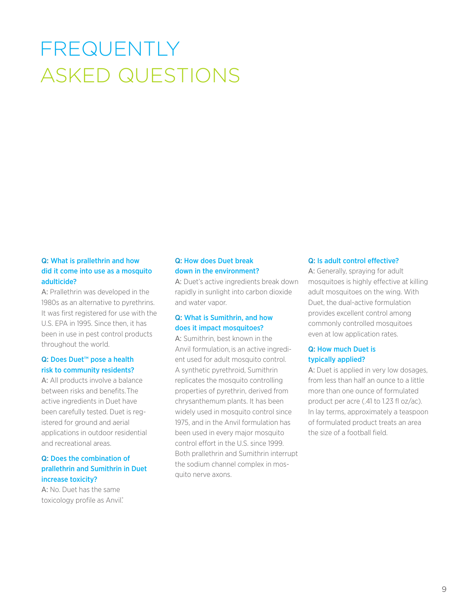## FREQUENTLY ASKED QUESTIONS

### Q: What is prallethrin and how did it come into use as a mosquito adulticide?

A: Prallethrin was developed in the 1980s as an alternative to pyrethrins. It was first registered for use with the U.S. EPA in 1995. Since then, it has been in use in pest control products throughout the world.

### Q: Does Duet<sup>™</sup> pose a health risk to community residents?

A: All products involve a balance between risks and benefits. The active ingredients in Duet have been carefully tested. Duet is registered for ground and aerial applications in outdoor residential and recreational areas.

### Q: Does the combination of prallethrin and Sumithrin in Duet increase toxicity?

A: No. Duet has the same toxicology profile as Anvil.

### Q: How does Duet break down in the environment?

A: Duet's active ingredients break down rapidly in sunlight into carbon dioxide and water vapor.

### Q: What is Sumithrin, and how does it impact mosquitoes?

A: Sumithrin, best known in the Anvil formulation, is an active ingredient used for adult mosquito control. A synthetic pyrethroid, Sumithrin replicates the mosquito controlling properties of pyrethrin, derived from chrysanthemum plants. It has been widely used in mosquito control since 1975, and in the Anvil formulation has been used in every major mosquito control effort in the U.S. since 1999. Both prallethrin and Sumithrin interrupt the sodium channel complex in mosquito nerve axons.

### Q: Is adult control effective?

A: Generally, spraying for adult mosquitoes is highly effective at killing adult mosquitoes on the wing. With Duet, the dual-active formulation provides excellent control among commonly controlled mosquitoes even at low application rates.

### Q: How much Duet is typically applied?

A: Duet is applied in very low dosages, from less than half an ounce to a little more than one ounce of formulated product per acre (.41 to 1.23 fl oz/ac). In lay terms, approximately a teaspoon of formulated product treats an area the size of a football field.